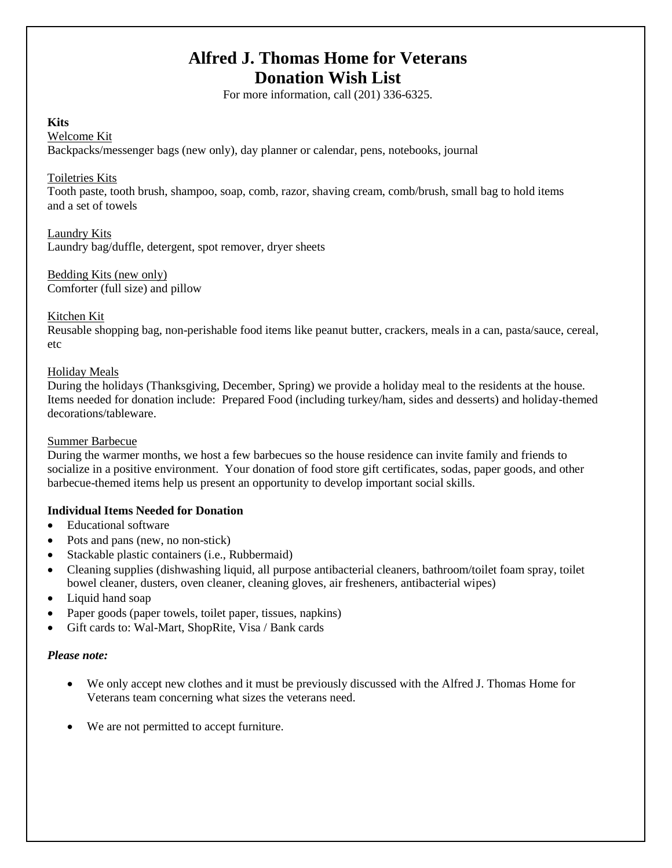# **Alfred J. Thomas Home for Veterans Donation Wish List**

For more information, call (201) 336-6325.

# **Kits**

Welcome Kit

Backpacks/messenger bags (new only), day planner or calendar, pens, notebooks, journal

# Toiletries Kits

Tooth paste, tooth brush, shampoo, soap, comb, razor, shaving cream, comb/brush, small bag to hold items and a set of towels

## Laundry Kits

Laundry bag/duffle, detergent, spot remover, dryer sheets

Bedding Kits (new only) Comforter (full size) and pillow

# Kitchen Kit

Reusable shopping bag, non-perishable food items like peanut butter, crackers, meals in a can, pasta/sauce, cereal, etc

## Holiday Meals

During the holidays (Thanksgiving, December, Spring) we provide a holiday meal to the residents at the house. Items needed for donation include: Prepared Food (including turkey/ham, sides and desserts) and holiday-themed decorations/tableware.

## Summer Barbecue

During the warmer months, we host a few barbecues so the house residence can invite family and friends to socialize in a positive environment. Your donation of food store gift certificates, sodas, paper goods, and other barbecue-themed items help us present an opportunity to develop important social skills.

# **Individual Items Needed for Donation**

- Educational software
- Pots and pans (new, no non-stick)
- Stackable plastic containers (i.e., Rubbermaid)
- Cleaning supplies (dishwashing liquid, all purpose antibacterial cleaners, bathroom/toilet foam spray, toilet bowel cleaner, dusters, oven cleaner, cleaning gloves, air fresheners, antibacterial wipes)
- Liquid hand soap
- Paper goods (paper towels, toilet paper, tissues, napkins)
- Gift cards to: Wal-Mart, ShopRite, Visa / Bank cards

## *Please note:*

- We only accept new clothes and it must be previously discussed with the Alfred J. Thomas Home for Veterans team concerning what sizes the veterans need.
- We are not permitted to accept furniture.